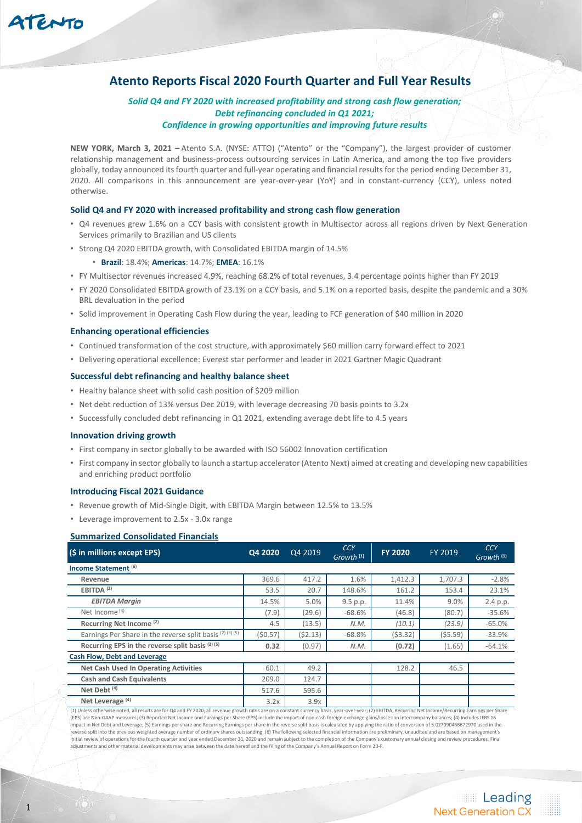# **Atento Reports Fiscal 2020 Fourth Quarter and Full Year Results**

# *Solid Q4 and FY 2020 with increased profitability and strong cash flow generation; Debt refinancing concluded in Q1 2021; Confidence in growing opportunities and improving future results*

**NEW YORK, March 3, 2021 –** Atento S.A. (NYSE: ATTO) ("Atento" or the "Company"), the largest provider of customer relationship management and business-process outsourcing services in Latin America, and among the top five providers globally, today announced its fourth quarter and full-year operating and financial results for the period ending December 31, 2020. All comparisons in this announcement are year-over-year (YoY) and in constant-currency (CCY), unless noted otherwise.

## **Solid Q4 and FY 2020 with increased profitability and strong cash flow generation**

- Q4 revenues grew 1.6% on a CCY basis with consistent growth in Multisector across all regions driven by Next Generation Services primarily to Brazilian and US clients
- Strong Q4 2020 EBITDA growth, with Consolidated EBITDA margin of 14.5%

# • **Brazil**: 18.4%; **Americas**: 14.7%; **EMEA**: 16.1%

- FY Multisector revenues increased 4.9%, reaching 68.2% of total revenues, 3.4 percentage points higher than FY 2019
- FY 2020 Consolidated EBITDA growth of 23.1% on a CCY basis, and 5.1% on a reported basis, despite the pandemic and a 30% BRL devaluation in the period
- Solid improvement in Operating Cash Flow during the year, leading to FCF generation of \$40 million in 2020

#### **Enhancing operational efficiencies**

- Continued transformation of the cost structure, with approximately \$60 million carry forward effect to 2021
- Delivering operational excellence: Everest star performer and leader in 2021 Gartner Magic Quadrant

#### **Successful debt refinancing and healthy balance sheet**

- Healthy balance sheet with solid cash position of \$209 million
- Net debt reduction of 13% versus Dec 2019, with leverage decreasing 70 basis points to 3.2x
- Successfully concluded debt refinancing in Q1 2021, extending average debt life to 4.5 years

#### **Innovation driving growth**

- First company in sector globally to be awarded with ISO 56002 Innovation certification
- First company in sector globally to launch a startup accelerator (Atento Next) aimed at creating and developing new capabilities and enriching product portfolio

## **Introducing Fiscal 2021 Guidance**

- Revenue growth of Mid-Single Digit, with EBITDA Margin between 12.5% to 13.5%
- Leverage improvement to 2.5x 3.0x range

#### **Summarized Consolidated Financials**

| (\$ in millions except EPS)                               | Q4 2020 | Q4 2019 | <b>CCY</b><br>Growth <sup>(1)</sup> | <b>FY 2020</b> | <b>FY 2019</b> | <b>CCY</b><br>Growth <sup>(1)</sup> |
|-----------------------------------------------------------|---------|---------|-------------------------------------|----------------|----------------|-------------------------------------|
| Income Statement <sup>(6)</sup>                           |         |         |                                     |                |                |                                     |
| Revenue                                                   | 369.6   | 417.2   | 1.6%                                | 1,412.3        | 1.707.3        | $-2.8%$                             |
| EBITDA <sup>(2)</sup>                                     | 53.5    | 20.7    | 148.6%                              | 161.2          | 153.4          | 23.1%                               |
| <b>EBITDA Margin</b>                                      | 14.5%   | 5.0%    | 9.5 p.p.                            | 11.4%          | 9.0%           | 2.4 p.p.                            |
| Net Income <sup>(3)</sup>                                 | (7.9)   | (29.6)  | $-68.6%$                            | (46.8)         | (80.7)         | $-35.6%$                            |
| Recurring Net Income <sup>(2)</sup>                       | 4.5     | (13.5)  | N.M.                                | (10.1)         | (23.9)         | $-65.0%$                            |
| Earnings Per Share in the reverse split basis (2) (3) (5) | (50.57) | (52.13) | $-68.8%$                            | (53.32)        | (55.59)        | $-33.9%$                            |
| Recurring EPS in the reverse split basis (2) (5)          | 0.32    | (0.97)  | N.M.                                | (0.72)         | (1.65)         | $-64.1%$                            |
| <b>Cash Flow, Debt and Leverage</b>                       |         |         |                                     |                |                |                                     |
| <b>Net Cash Used In Operating Activities</b>              | 60.1    | 49.2    |                                     | 128.2          | 46.5           |                                     |
| <b>Cash and Cash Equivalents</b>                          | 209.0   | 124.7   |                                     |                |                |                                     |
| Net Debt <sup>(4)</sup>                                   | 517.6   | 595.6   |                                     |                |                |                                     |
| Net Leverage <sup>(4)</sup>                               | 3.2x    | 3.9x    |                                     |                |                |                                     |

(1) Unless otherwise noted, all results are for Q4 and FY 2020; all revenue growth rates are on a constant currency basis, year-over-year; (2) EBITDA, Recurring Net Income/Recurring Earnings per Share (EPS) are Non-GAAP measures; (3) Reported Net Income and Earnings per Share (EPS) include the impact of non-cash foreign exchange gains/losses on intercompany balances; (4) Includes IFRS 16 impact in Net Debt and Leverage; (5) Earnings per share and Recurring Earnings per share in the reverse split basis is calculated by applying the ratio of conversion of 5.027090466672970 used in the reverse split into the previous weighted average number of ordinary shares outstanding. (6) The following selected financial information are preliminary, unaudited and are based on management's initial review of operations for the fourth quarter and year ended December 31, 2020 and remain subject to the completion of the Company's customary annual closing and review procedures. Final adjustments and other material developments may arise between the date hereof and the filing of the Company's Annual Report on Form 20-F.

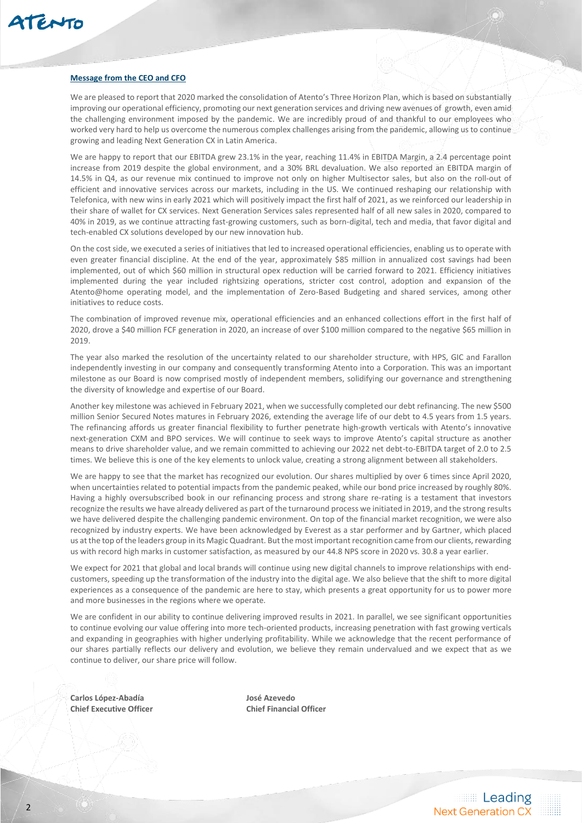

#### **Message from the CEO and CFO**

We are pleased to report that 2020 marked the consolidation of Atento's Three Horizon Plan, which is based on substantially improving our operational efficiency, promoting our next generation services and driving new avenues of growth, even amid the challenging environment imposed by the pandemic. We are incredibly proud of and thankful to our employees who worked very hard to help us overcome the numerous complex challenges arising from the pandemic, allowing us to continue growing and leading Next Generation CX in Latin America.

We are happy to report that our EBITDA grew 23.1% in the year, reaching 11.4% in EBITDA Margin, a 2.4 percentage point increase from 2019 despite the global environment, and a 30% BRL devaluation. We also reported an EBITDA margin of 14.5% in Q4, as our revenue mix continued to improve not only on higher Multisector sales, but also on the roll-out of efficient and innovative services across our markets, including in the US. We continued reshaping our relationship with Telefonica, with new wins in early 2021 which will positively impact the first half of 2021, as we reinforced our leadership in their share of wallet for CX services. Next Generation Services sales represented half of all new sales in 2020, compared to 40% in 2019, as we continue attracting fast-growing customers, such as born-digital, tech and media, that favor digital and tech-enabled CX solutions developed by our new innovation hub.

On the cost side, we executed a series of initiatives that led to increased operational efficiencies, enabling us to operate with even greater financial discipline. At the end of the year, approximately \$85 million in annualized cost savings had been implemented, out of which \$60 million in structural opex reduction will be carried forward to 2021. Efficiency initiatives implemented during the year included rightsizing operations, stricter cost control, adoption and expansion of the Atento@home operating model, and the implementation of Zero-Based Budgeting and shared services, among other initiatives to reduce costs.

The combination of improved revenue mix, operational efficiencies and an enhanced collections effort in the first half of 2020, drove a \$40 million FCF generation in 2020, an increase of over \$100 million compared to the negative \$65 million in 2019.

The year also marked the resolution of the uncertainty related to our shareholder structure, with HPS, GIC and Farallon independently investing in our company and consequently transforming Atento into a Corporation. This was an important milestone as our Board is now comprised mostly of independent members, solidifying our governance and strengthening the diversity of knowledge and expertise of our Board.

Another key milestone was achieved in February 2021, when we successfully completed our debt refinancing. The new \$500 million Senior Secured Notes matures in February 2026, extending the average life of our debt to 4.5 years from 1.5 years. The refinancing affords us greater financial flexibility to further penetrate high-growth verticals with Atento's innovative next-generation CXM and BPO services. We will continue to seek ways to improve Atento's capital structure as another means to drive shareholder value, and we remain committed to achieving our 2022 net debt-to-EBITDA target of 2.0 to 2.5 times. We believe this is one of the key elements to unlock value, creating a strong alignment between all stakeholders.

We are happy to see that the market has recognized our evolution. Our shares multiplied by over 6 times since April 2020, when uncertainties related to potential impacts from the pandemic peaked, while our bond price increased by roughly 80%. Having a highly oversubscribed book in our refinancing process and strong share re-rating is a testament that investors recognize the results we have already delivered as part of the turnaround process we initiated in 2019, and the strong results we have delivered despite the challenging pandemic environment. On top of the financial market recognition, we were also recognized by industry experts. We have been acknowledged by Everest as a star performer and by Gartner, which placed us at the top of the leaders group in its Magic Quadrant. But the most important recognition came from our clients, rewarding us with record high marks in customer satisfaction, as measured by our 44.8 NPS score in 2020 vs. 30.8 a year earlier.

We expect for 2021 that global and local brands will continue using new digital channels to improve relationships with endcustomers, speeding up the transformation of the industry into the digital age. We also believe that the shift to more digital experiences as a consequence of the pandemic are here to stay, which presents a great opportunity for us to power more and more businesses in the regions where we operate.

We are confident in our ability to continue delivering improved results in 2021. In parallel, we see significant opportunities to continue evolving our value offering into more tech-oriented products, increasing penetration with fast growing verticals and expanding in geographies with higher underlying profitability. While we acknowledge that the recent performance of our shares partially reflects our delivery and evolution, we believe they remain undervalued and we expect that as we continue to deliver, our share price will follow.

**Carlos López-Abadía José Azevedo Chief Executive Officer Chief Financial Officer**

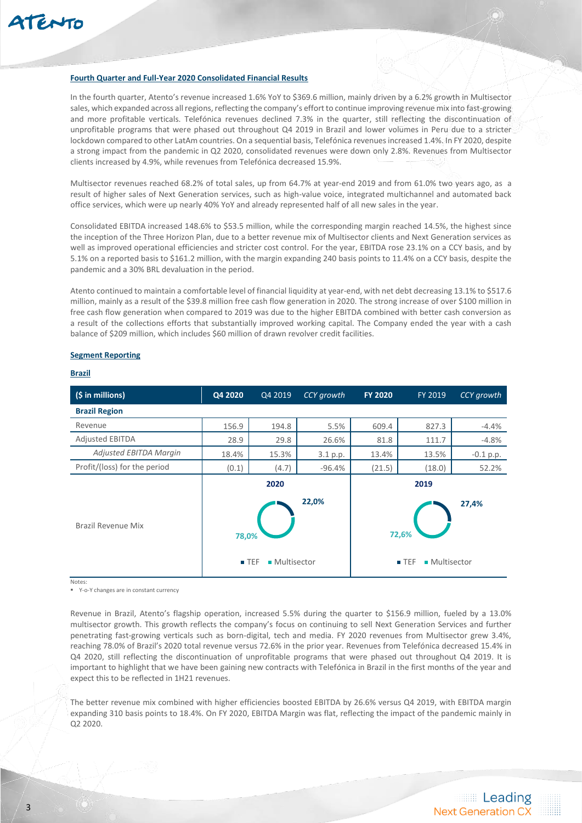#### **Fourth Quarter and Full-Year 2020 Consolidated Financial Results**

In the fourth quarter, Atento's revenue increased 1.6% YoY to \$369.6 million, mainly driven by a 6.2% growth in Multisector sales, which expanded across all regions, reflecting the company's effort to continue improving revenue mix into fast-growing and more profitable verticals. Telefónica revenues declined 7.3% in the quarter, still reflecting the discontinuation of unprofitable programs that were phased out throughout Q4 2019 in Brazil and lower volumes in Peru due to a stricter lockdown compared to other LatAm countries. On a sequential basis, Telefónica revenues increased 1.4%. In FY 2020, despite a strong impact from the pandemic in Q2 2020, consolidated revenues were down only 2.8%. Revenues from Multisector clients increased by 4.9%, while revenues from Telefónica decreased 15.9%.

Multisector revenues reached 68.2% of total sales, up from 64.7% at year-end 2019 and from 61.0% two years ago, as a result of higher sales of Next Generation services, such as high-value voice, integrated multichannel and automated back office services, which were up nearly 40% YoY and already represented half of all new sales in the year.

Consolidated EBITDA increased 148.6% to \$53.5 million, while the corresponding margin reached 14.5%, the highest since the inception of the Three Horizon Plan, due to a better revenue mix of Multisector clients and Next Generation services as well as improved operational efficiencies and stricter cost control. For the year, EBITDA rose 23.1% on a CCY basis, and by 5.1% on a reported basis to \$161.2 million, with the margin expanding 240 basis points to 11.4% on a CCY basis, despite the pandemic and a 30% BRL devaluation in the period.

Atento continued to maintain a comfortable level of financial liquidity at year-end, with net debt decreasing 13.1% to \$517.6 million, mainly as a result of the \$39.8 million free cash flow generation in 2020. The strong increase of over \$100 million in free cash flow generation when compared to 2019 was due to the higher EBITDA combined with better cash conversion as a result of the collections efforts that substantially improved working capital. The Company ended the year with a cash balance of \$209 million, which includes \$60 million of drawn revolver credit facilities.

#### **Segment Reporting**

# **Brazil**

| (\$ in millions)             | Q4 2020                     | Q4 2019               | CCY growth | <b>FY 2020</b> | FY 2019                                              | CCY growth  |
|------------------------------|-----------------------------|-----------------------|------------|----------------|------------------------------------------------------|-------------|
| <b>Brazil Region</b>         |                             |                       |            |                |                                                      |             |
| Revenue                      | 156.9                       | 194.8                 | 5.5%       | 609.4          | 827.3                                                | $-4.4%$     |
| <b>Adjusted EBITDA</b>       | 28.9                        | 29.8                  | 26.6%      | 81.8           | 111.7                                                | $-4.8%$     |
| Adjusted EBITDA Margin       | 18.4%                       | 15.3%                 | 3.1 p.p.   | 13.4%          | 13.5%                                                | $-0.1$ p.p. |
| Profit/(loss) for the period | (0.1)                       | (4.7)                 | $-96.4%$   | (21.5)         | (18.0)                                               | 52.2%       |
| <b>Brazil Revenue Mix</b>    | 78,0%<br>$\blacksquare$ TEF | 2020<br>• Multisector | 22,0%      |                | 2019<br>72,6%<br>• Multisector<br>$\blacksquare$ TEF | 27,4%       |

Notes:

Y-o-Y changes are in constant currency

Revenue in Brazil, Atento's flagship operation, increased 5.5% during the quarter to \$156.9 million, fueled by a 13.0% multisector growth. This growth reflects the company's focus on continuing to sell Next Generation Services and further penetrating fast-growing verticals such as born-digital, tech and media. FY 2020 revenues from Multisector grew 3.4%, reaching 78.0% of Brazil's 2020 total revenue versus 72.6% in the prior year. Revenues from Telefónica decreased 15.4% in Q4 2020, still reflecting the discontinuation of unprofitable programs that were phased out throughout Q4 2019. It is important to highlight that we have been gaining new contracts with Telefónica in Brazil in the first months of the year and expect this to be reflected in 1H21 revenues.

The better revenue mix combined with higher efficiencies boosted EBITDA by 26.6% versus Q4 2019, with EBITDA margin expanding 310 basis points to 18.4%. On FY 2020, EBITDA Margin was flat, reflecting the impact of the pandemic mainly in Q2 2020.

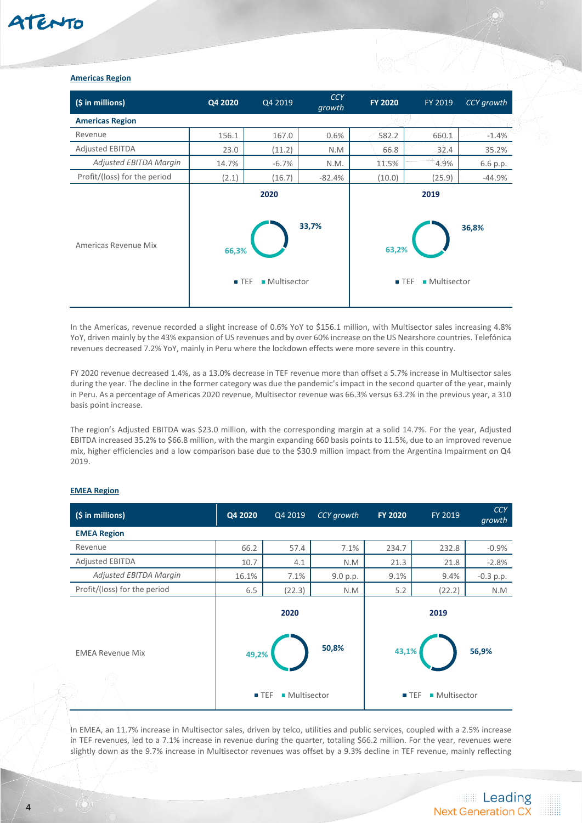### **Americas Region**

| (\$ in millions)             | Q4 2020                     | Q4 2019               | <b>CCY</b><br>growth | <b>FY 2020</b> | FY 2019                                     | CCY growth |
|------------------------------|-----------------------------|-----------------------|----------------------|----------------|---------------------------------------------|------------|
| <b>Americas Region</b>       |                             |                       |                      |                |                                             |            |
| Revenue                      | 156.1                       | 167.0                 | 0.6%                 | 582.2          | 660.1                                       | $-1.4%$    |
| <b>Adjusted EBITDA</b>       | 23.0                        | (11.2)                | N.M                  | 66.8           | 32.4                                        | 35.2%      |
| Adjusted EBITDA Margin       | 14.7%                       | $-6.7%$               | N.M.                 | 11.5%          | 4.9%                                        | 6.6 p.p.   |
| Profit/(loss) for the period | (2.1)                       | (16.7)                | $-82.4%$             | (10.0)         | (25.9)                                      | $-44.9%$   |
| Americas Revenue Mix         | 66,3%<br>$\blacksquare$ TEF | 2020<br>■ Multisector | 33,7%                | 63,2%          | 2019<br>■ Multisector<br>$\blacksquare$ TEF | 36,8%      |

In the Americas, revenue recorded a slight increase of 0.6% YoY to \$156.1 million, with Multisector sales increasing 4.8% YoY, driven mainly by the 43% expansion of US revenues and by over 60% increase on the US Nearshore countries. Telefónica revenues decreased 7.2% YoY, mainly in Peru where the lockdown effects were more severe in this country.

FY 2020 revenue decreased 1.4%, as a 13.0% decrease in TEF revenue more than offset a 5.7% increase in Multisector sales during the year. The decline in the former category was due the pandemic's impact in the second quarter of the year, mainly in Peru. As a percentage of Americas 2020 revenue, Multisector revenue was 66.3% versus 63.2% in the previous year, a 310 basis point increase.

The region's Adjusted EBITDA was \$23.0 million, with the corresponding margin at a solid 14.7%. For the year, Adjusted EBITDA increased 35.2% to \$66.8 million, with the margin expanding 660 basis points to 11.5%, due to an improved revenue mix, higher efficiencies and a low comparison base due to the \$30.9 million impact from the Argentina Impairment on Q4 2019.

# **EMEA Region**

| (\$ in millions)             | Q4 2020 | Q4 2019                             | CCY growth | <b>FY 2020</b> | FY 2019                             | <b>CCY</b><br>growth |
|------------------------------|---------|-------------------------------------|------------|----------------|-------------------------------------|----------------------|
| <b>EMEA Region</b>           |         |                                     |            |                |                                     |                      |
| Revenue                      | 66.2    | 57.4                                | 7.1%       | 234.7          | 232.8                               | $-0.9%$              |
| <b>Adjusted EBITDA</b>       | 10.7    | 4.1                                 | N.M        | 21.3           | 21.8                                | $-2.8%$              |
| Adjusted EBITDA Margin       | 16.1%   | 7.1%                                | 9.0 p.p.   | 9.1%           | 9.4%                                | $-0.3$ p.p.          |
| Profit/(loss) for the period | 6.5     | (22.3)                              | N.M        | 5.2            | (22.2)                              | N.M                  |
|                              |         | 2020                                |            |                | 2019                                |                      |
| <b>EMEA Revenue Mix</b>      | 49,2%   |                                     | 50,8%      | 43,1%          |                                     | 56,9%                |
|                              |         | ■ Multisector<br>$\blacksquare$ TEF |            |                | ■ Multisector<br>$\blacksquare$ TEF |                      |

In EMEA, an 11.7% increase in Multisector sales, driven by telco, utilities and public services, coupled with a 2.5% increase in TEF revenues, led to a 7.1% increase in revenue during the quarter, totaling \$66.2 million. For the year, revenues were slightly down as the 9.7% increase in Multisector revenues was offset by a 9.3% decline in TEF revenue, mainly reflecting

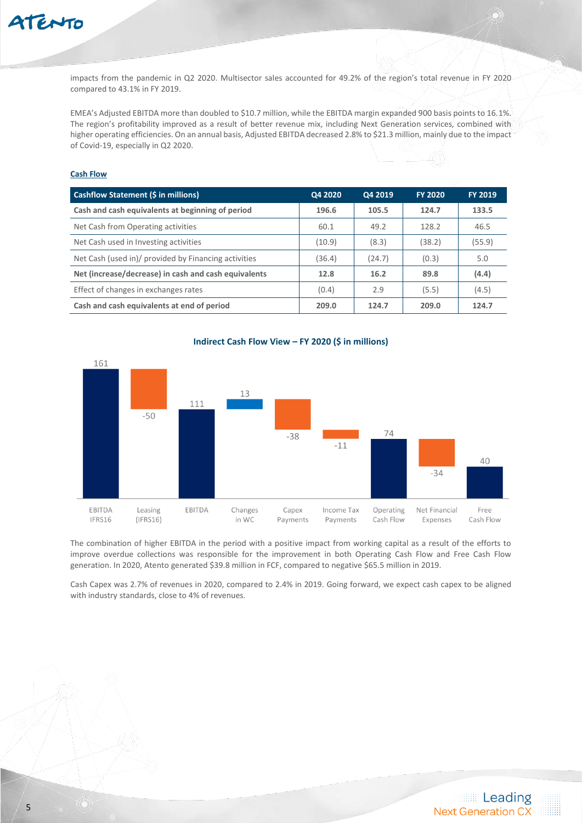

impacts from the pandemic in Q2 2020. Multisector sales accounted for 49.2% of the region's total revenue in FY 2020 compared to 43.1% in FY 2019.

EMEA's Adjusted EBITDA more than doubled to \$10.7 million, while the EBITDA margin expanded 900 basis points to 16.1%. The region's profitability improved as a result of better revenue mix, including Next Generation services, combined with higher operating efficiencies. On an annual basis, Adjusted EBITDA decreased 2.8% to \$21.3 million, mainly due to the impact of Covid-19, especially in Q2 2020.

# **Cash Flow**

| Cashflow Statement (\$ in millions)                  | Q4 2020 | Q4 2019 | <b>FY 2020</b> | <b>FY 2019</b> |
|------------------------------------------------------|---------|---------|----------------|----------------|
| Cash and cash equivalents at beginning of period     | 196.6   | 105.5   | 124.7          | 133.5          |
| Net Cash from Operating activities                   | 60.1    | 49.2    | 128.2          | 46.5           |
| Net Cash used in Investing activities                | (10.9)  | (8.3)   | (38.2)         | (55.9)         |
| Net Cash (used in)/ provided by Financing activities | (36.4)  | (24.7)  | (0.3)          | 5.0            |
| Net (increase/decrease) in cash and cash equivalents | 12.8    | 16.2    | 89.8           | (4.4)          |
| Effect of changes in exchanges rates                 | (0.4)   | 2.9     | (5.5)          | (4.5)          |
| Cash and cash equivalents at end of period           | 209.0   | 124.7   | 209.0          | 124.7          |



# **Indirect Cash Flow View – FY 2020 (\$ in millions)**

The combination of higher EBITDA in the period with a positive impact from working capital as a result of the efforts to improve overdue collections was responsible for the improvement in both Operating Cash Flow and Free Cash Flow generation. In 2020, Atento generated \$39.8 million in FCF, compared to negative \$65.5 million in 2019.

Cash Capex was 2.7% of revenues in 2020, compared to 2.4% in 2019. Going forward, we expect cash capex to be aligned with industry standards, close to 4% of revenues.

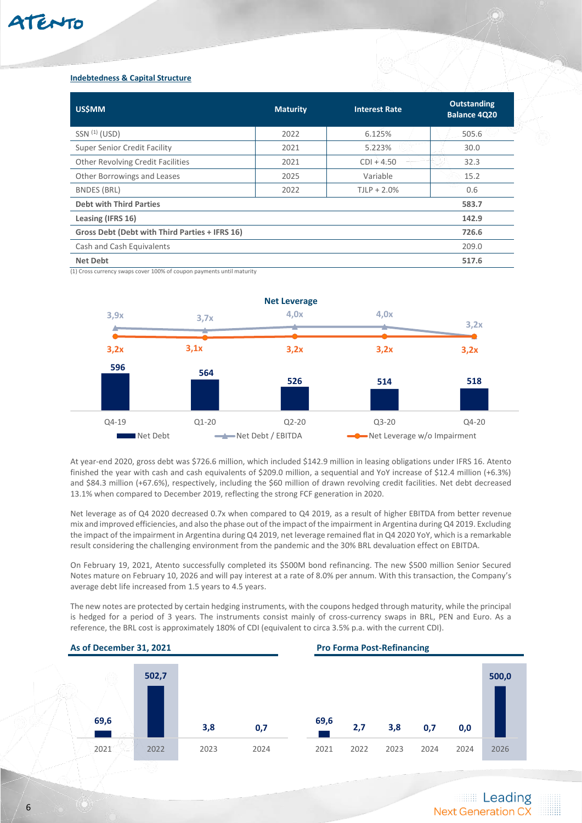# ATENTO

# **Indebtedness & Capital Structure**

| <b>US\$MM</b>                                  | <b>Maturity</b> | <b>Interest Rate</b> | <b>Outstanding</b><br><b>Balance 4Q20</b> |
|------------------------------------------------|-----------------|----------------------|-------------------------------------------|
| $SSN$ <sup><math>(1)</math></sup> (USD)        | 2022            | 6.125%               | 505.6                                     |
| <b>Super Senior Credit Facility</b>            | 2021            | 5.223%               | 30.0                                      |
| <b>Other Revolving Credit Facilities</b>       | 2021            | $CDI + 4.50$         | 32.3                                      |
| Other Borrowings and Leases                    | 2025            | Variable             | 15.2                                      |
| <b>BNDES (BRL)</b>                             | 2022            | $TJLP + 2.0\%$       | 0.6                                       |
| <b>Debt with Third Parties</b>                 |                 |                      | 583.7                                     |
| Leasing (IFRS 16)                              |                 |                      | 142.9                                     |
| Gross Debt (Debt with Third Parties + IFRS 16) |                 |                      | 726.6                                     |
| Cash and Cash Equivalents                      |                 |                      | 209.0                                     |
| <b>Net Debt</b>                                |                 |                      | 517.6                                     |

(1) Cross currency swaps cover 100% of coupon payments until maturity



At year-end 2020, gross debt was \$726.6 million, which included \$142.9 million in leasing obligations under IFRS 16. Atento finished the year with cash and cash equivalents of \$209.0 million, a sequential and YoY increase of \$12.4 million (+6.3%) and \$84.3 million (+67.6%), respectively, including the \$60 million of drawn revolving credit facilities. Net debt decreased 13.1% when compared to December 2019, reflecting the strong FCF generation in 2020.

Net leverage as of Q4 2020 decreased 0.7x when compared to Q4 2019, as a result of higher EBITDA from better revenue mix and improved efficiencies, and also the phase out of the impact of the impairment in Argentina during Q4 2019. Excluding the impact of the impairment in Argentina during Q4 2019, net leverage remained flat in Q4 2020 YoY, which is a remarkable result considering the challenging environment from the pandemic and the 30% BRL devaluation effect on EBITDA.

On February 19, 2021, Atento successfully completed its \$500M bond refinancing. The new \$500 million Senior Secured Notes mature on February 10, 2026 and will pay interest at a rate of 8.0% per annum. With this transaction, the Company's average debt life increased from 1.5 years to 4.5 years.

The new notes are protected by certain hedging instruments, with the coupons hedged through maturity, while the principal is hedged for a period of 3 years. The instruments consist mainly of cross-currency swaps in BRL, PEN and Euro. As a reference, the BRL cost is approximately 180% of CDI (equivalent to circa 3.5% p.a. with the current CDI).